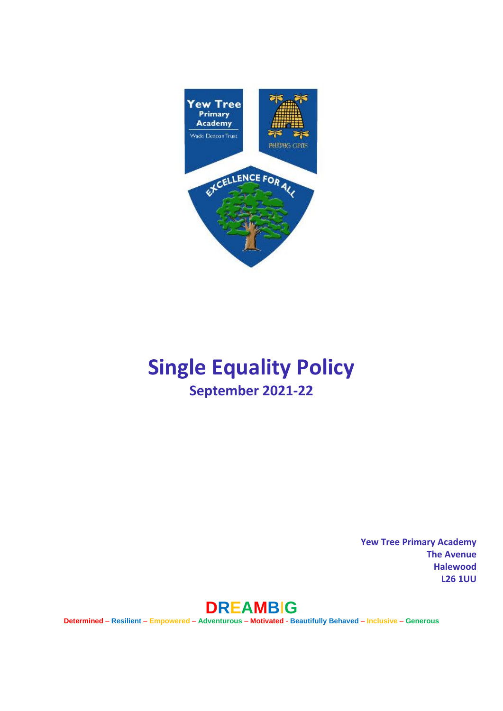

# **Single Equality Policy September 2021-22**

**Yew Tree Primary Academy The Avenue Halewood L26 1UU** 



**Determined** – **Resilient** – **Empowered** – **Adventurous** – **Motivated** - **Beautifully Behaved** – **Inclusive** – **Generous**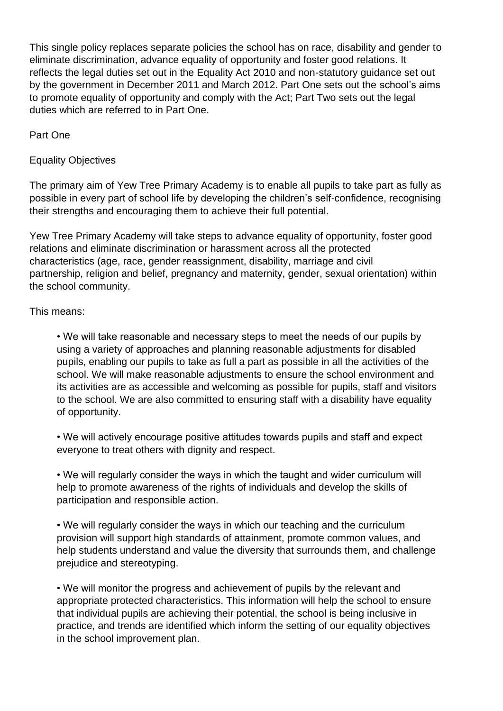This single policy replaces separate policies the school has on race, disability and gender to eliminate discrimination, advance equality of opportunity and foster good relations. It reflects the legal duties set out in the Equality Act 2010 and non-statutory guidance set out by the government in December 2011 and March 2012. Part One sets out the school's aims to promote equality of opportunity and comply with the Act; Part Two sets out the legal duties which are referred to in Part One.

Part One

Equality Objectives

The primary aim of Yew Tree Primary Academy is to enable all pupils to take part as fully as possible in every part of school life by developing the children's self-confidence, recognising their strengths and encouraging them to achieve their full potential.

Yew Tree Primary Academy will take steps to advance equality of opportunity, foster good relations and eliminate discrimination or harassment across all the protected characteristics (age, race, gender reassignment, disability, marriage and civil partnership, religion and belief, pregnancy and maternity, gender, sexual orientation) within the school community.

## This means:

• We will take reasonable and necessary steps to meet the needs of our pupils by using a variety of approaches and planning reasonable adjustments for disabled pupils, enabling our pupils to take as full a part as possible in all the activities of the school. We will make reasonable adjustments to ensure the school environment and its activities are as accessible and welcoming as possible for pupils, staff and visitors to the school. We are also committed to ensuring staff with a disability have equality of opportunity.

• We will actively encourage positive attitudes towards pupils and staff and expect everyone to treat others with dignity and respect.

• We will regularly consider the ways in which the taught and wider curriculum will help to promote awareness of the rights of individuals and develop the skills of participation and responsible action.

• We will regularly consider the ways in which our teaching and the curriculum provision will support high standards of attainment, promote common values, and help students understand and value the diversity that surrounds them, and challenge prejudice and stereotyping.

• We will monitor the progress and achievement of pupils by the relevant and appropriate protected characteristics. This information will help the school to ensure that individual pupils are achieving their potential, the school is being inclusive in practice, and trends are identified which inform the setting of our equality objectives in the school improvement plan.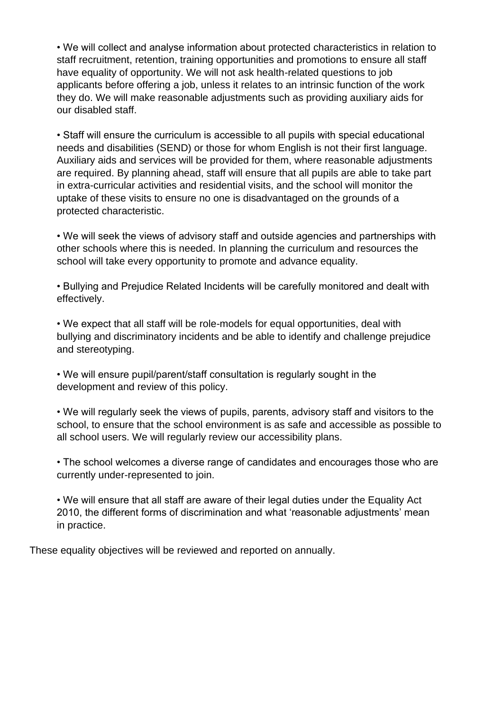• We will collect and analyse information about protected characteristics in relation to staff recruitment, retention, training opportunities and promotions to ensure all staff have equality of opportunity. We will not ask health-related questions to job applicants before offering a job, unless it relates to an intrinsic function of the work they do. We will make reasonable adjustments such as providing auxiliary aids for our disabled staff.

• Staff will ensure the curriculum is accessible to all pupils with special educational needs and disabilities (SEND) or those for whom English is not their first language. Auxiliary aids and services will be provided for them, where reasonable adjustments are required. By planning ahead, staff will ensure that all pupils are able to take part in extra-curricular activities and residential visits, and the school will monitor the uptake of these visits to ensure no one is disadvantaged on the grounds of a protected characteristic.

• We will seek the views of advisory staff and outside agencies and partnerships with other schools where this is needed. In planning the curriculum and resources the school will take every opportunity to promote and advance equality.

• Bullying and Prejudice Related Incidents will be carefully monitored and dealt with effectively.

• We expect that all staff will be role-models for equal opportunities, deal with bullying and discriminatory incidents and be able to identify and challenge prejudice and stereotyping.

• We will ensure pupil/parent/staff consultation is regularly sought in the development and review of this policy.

• We will regularly seek the views of pupils, parents, advisory staff and visitors to the school, to ensure that the school environment is as safe and accessible as possible to all school users. We will regularly review our accessibility plans.

• The school welcomes a diverse range of candidates and encourages those who are currently under-represented to join.

• We will ensure that all staff are aware of their legal duties under the Equality Act 2010, the different forms of discrimination and what 'reasonable adjustments' mean in practice.

These equality objectives will be reviewed and reported on annually.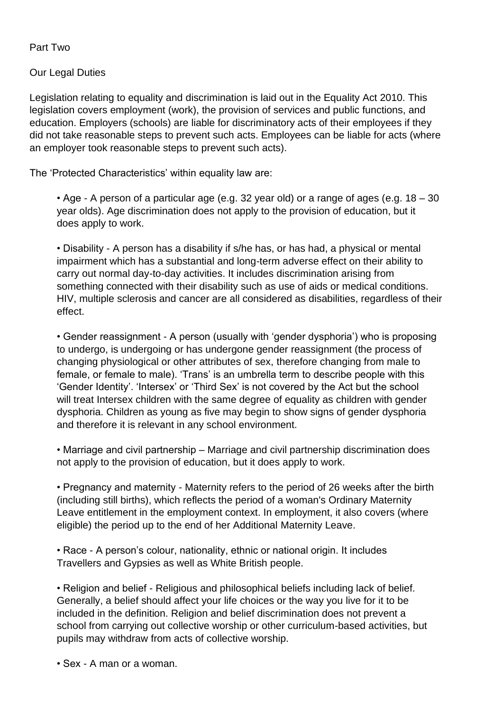Part Two

Our Legal Duties

Legislation relating to equality and discrimination is laid out in the Equality Act 2010. This legislation covers employment (work), the provision of services and public functions, and education. Employers (schools) are liable for discriminatory acts of their employees if they did not take reasonable steps to prevent such acts. Employees can be liable for acts (where an employer took reasonable steps to prevent such acts).

The 'Protected Characteristics' within equality law are:

• Age - A person of a particular age (e.g. 32 year old) or a range of ages (e.g. 18 – 30 year olds). Age discrimination does not apply to the provision of education, but it does apply to work.

• Disability - A person has a disability if s/he has, or has had, a physical or mental impairment which has a substantial and long-term adverse effect on their ability to carry out normal day-to-day activities. It includes discrimination arising from something connected with their disability such as use of aids or medical conditions. HIV, multiple sclerosis and cancer are all considered as disabilities, regardless of their effect.

• Gender reassignment - A person (usually with 'gender dysphoria') who is proposing to undergo, is undergoing or has undergone gender reassignment (the process of changing physiological or other attributes of sex, therefore changing from male to female, or female to male). 'Trans' is an umbrella term to describe people with this 'Gender Identity'. 'Intersex' or 'Third Sex' is not covered by the Act but the school will treat Intersex children with the same degree of equality as children with gender dysphoria. Children as young as five may begin to show signs of gender dysphoria and therefore it is relevant in any school environment.

• Marriage and civil partnership – Marriage and civil partnership discrimination does not apply to the provision of education, but it does apply to work.

• Pregnancy and maternity - Maternity refers to the period of 26 weeks after the birth (including still births), which reflects the period of a woman's Ordinary Maternity Leave entitlement in the employment context. In employment, it also covers (where eligible) the period up to the end of her Additional Maternity Leave.

• Race - A person's colour, nationality, ethnic or national origin. It includes Travellers and Gypsies as well as White British people.

• Religion and belief - Religious and philosophical beliefs including lack of belief. Generally, a belief should affect your life choices or the way you live for it to be included in the definition. Religion and belief discrimination does not prevent a school from carrying out collective worship or other curriculum-based activities, but pupils may withdraw from acts of collective worship.

• Sex - A man or a woman.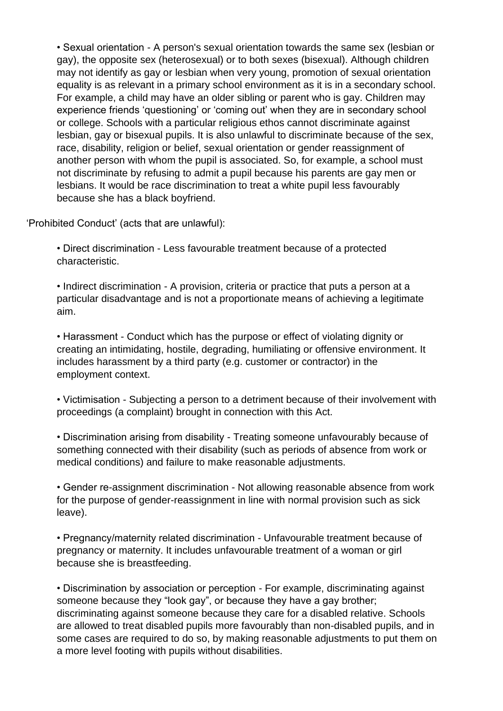• Sexual orientation - A person's sexual orientation towards the same sex (lesbian or gay), the opposite sex (heterosexual) or to both sexes (bisexual). Although children may not identify as gay or lesbian when very young, promotion of sexual orientation equality is as relevant in a primary school environment as it is in a secondary school. For example, a child may have an older sibling or parent who is gay. Children may experience friends 'questioning' or 'coming out' when they are in secondary school or college. Schools with a particular religious ethos cannot discriminate against lesbian, gay or bisexual pupils. It is also unlawful to discriminate because of the sex, race, disability, religion or belief, sexual orientation or gender reassignment of another person with whom the pupil is associated. So, for example, a school must not discriminate by refusing to admit a pupil because his parents are gay men or lesbians. It would be race discrimination to treat a white pupil less favourably because she has a black boyfriend.

'Prohibited Conduct' (acts that are unlawful):

• Direct discrimination - Less favourable treatment because of a protected characteristic.

• Indirect discrimination - A provision, criteria or practice that puts a person at a particular disadvantage and is not a proportionate means of achieving a legitimate aim.

• Harassment - Conduct which has the purpose or effect of violating dignity or creating an intimidating, hostile, degrading, humiliating or offensive environment. It includes harassment by a third party (e.g. customer or contractor) in the employment context.

• Victimisation - Subjecting a person to a detriment because of their involvement with proceedings (a complaint) brought in connection with this Act.

• Discrimination arising from disability - Treating someone unfavourably because of something connected with their disability (such as periods of absence from work or medical conditions) and failure to make reasonable adjustments.

• Gender re-assignment discrimination - Not allowing reasonable absence from work for the purpose of gender-reassignment in line with normal provision such as sick leave).

• Pregnancy/maternity related discrimination - Unfavourable treatment because of pregnancy or maternity. It includes unfavourable treatment of a woman or girl because she is breastfeeding.

• Discrimination by association or perception - For example, discriminating against someone because they "look gay", or because they have a gay brother; discriminating against someone because they care for a disabled relative. Schools are allowed to treat disabled pupils more favourably than non-disabled pupils, and in some cases are required to do so, by making reasonable adjustments to put them on a more level footing with pupils without disabilities.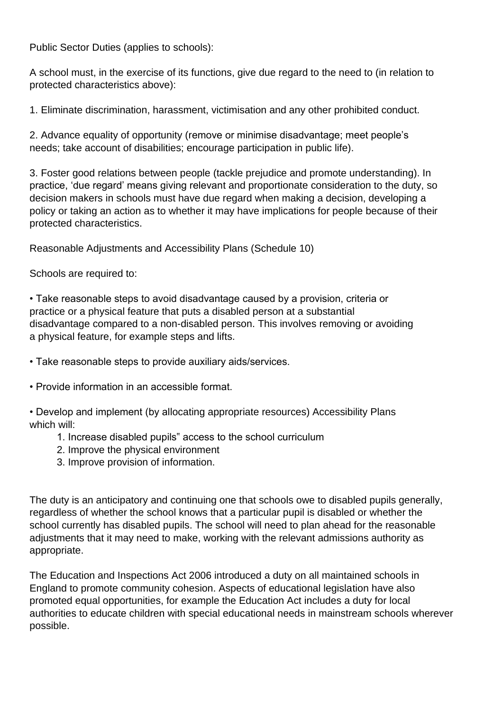Public Sector Duties (applies to schools):

A school must, in the exercise of its functions, give due regard to the need to (in relation to protected characteristics above):

1. Eliminate discrimination, harassment, victimisation and any other prohibited conduct.

2. Advance equality of opportunity (remove or minimise disadvantage; meet people's needs; take account of disabilities; encourage participation in public life).

3. Foster good relations between people (tackle prejudice and promote understanding). In practice, 'due regard' means giving relevant and proportionate consideration to the duty, so decision makers in schools must have due regard when making a decision, developing a policy or taking an action as to whether it may have implications for people because of their protected characteristics.

Reasonable Adjustments and Accessibility Plans (Schedule 10)

Schools are required to:

• Take reasonable steps to avoid disadvantage caused by a provision, criteria or practice or a physical feature that puts a disabled person at a substantial disadvantage compared to a non-disabled person. This involves removing or avoiding a physical feature, for example steps and lifts.

• Take reasonable steps to provide auxiliary aids/services.

• Provide information in an accessible format.

• Develop and implement (by allocating appropriate resources) Accessibility Plans which will:

- 1. Increase disabled pupils" access to the school curriculum
- 2. Improve the physical environment
- 3. Improve provision of information.

The duty is an anticipatory and continuing one that schools owe to disabled pupils generally, regardless of whether the school knows that a particular pupil is disabled or whether the school currently has disabled pupils. The school will need to plan ahead for the reasonable adjustments that it may need to make, working with the relevant admissions authority as appropriate.

The Education and Inspections Act 2006 introduced a duty on all maintained schools in England to promote community cohesion. Aspects of educational legislation have also promoted equal opportunities, for example the Education Act includes a duty for local authorities to educate children with special educational needs in mainstream schools wherever possible.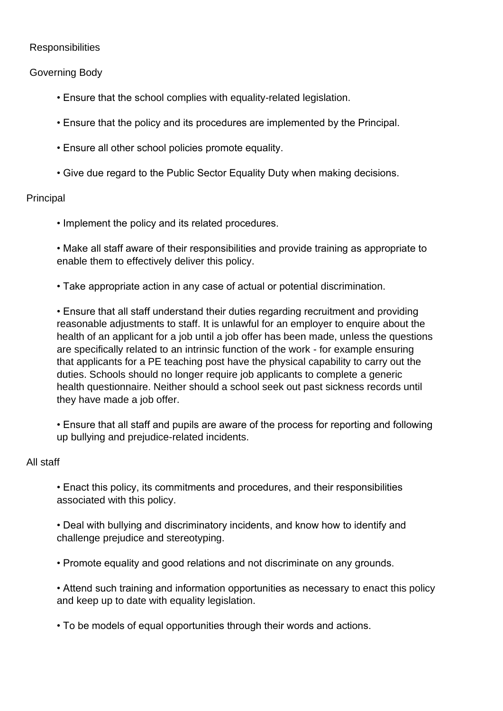## **Responsibilities**

## Governing Body

- Ensure that the school complies with equality-related legislation.
- Ensure that the policy and its procedures are implemented by the Principal.
- Ensure all other school policies promote equality.
- Give due regard to the Public Sector Equality Duty when making decisions.

#### Principal

• Implement the policy and its related procedures.

• Make all staff aware of their responsibilities and provide training as appropriate to enable them to effectively deliver this policy.

• Take appropriate action in any case of actual or potential discrimination.

• Ensure that all staff understand their duties regarding recruitment and providing reasonable adjustments to staff. It is unlawful for an employer to enquire about the health of an applicant for a job until a job offer has been made, unless the questions are specifically related to an intrinsic function of the work - for example ensuring that applicants for a PE teaching post have the physical capability to carry out the duties. Schools should no longer require job applicants to complete a generic health questionnaire. Neither should a school seek out past sickness records until they have made a job offer.

• Ensure that all staff and pupils are aware of the process for reporting and following up bullying and prejudice-related incidents.

#### All staff

• Enact this policy, its commitments and procedures, and their responsibilities associated with this policy.

• Deal with bullying and discriminatory incidents, and know how to identify and challenge prejudice and stereotyping.

• Promote equality and good relations and not discriminate on any grounds.

• Attend such training and information opportunities as necessary to enact this policy and keep up to date with equality legislation.

• To be models of equal opportunities through their words and actions.